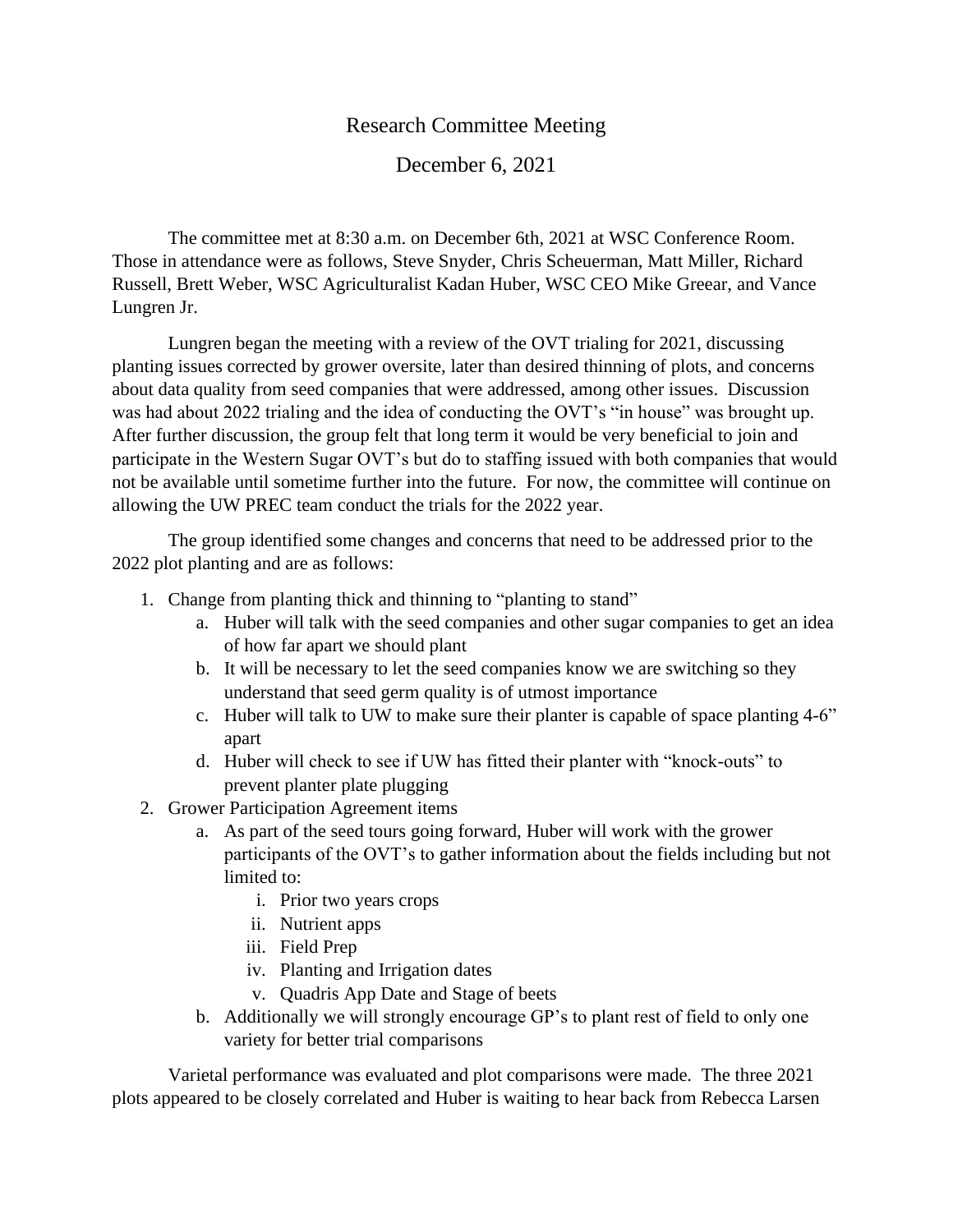## Research Committee Meeting

## December 6, 2021

The committee met at 8:30 a.m. on December 6th, 2021 at WSC Conference Room. Those in attendance were as follows, Steve Snyder, Chris Scheuerman, Matt Miller, Richard Russell, Brett Weber, WSC Agriculturalist Kadan Huber, WSC CEO Mike Greear, and Vance Lungren Jr.

Lungren began the meeting with a review of the OVT trialing for 2021, discussing planting issues corrected by grower oversite, later than desired thinning of plots, and concerns about data quality from seed companies that were addressed, among other issues. Discussion was had about 2022 trialing and the idea of conducting the OVT's "in house" was brought up. After further discussion, the group felt that long term it would be very beneficial to join and participate in the Western Sugar OVT's but do to staffing issued with both companies that would not be available until sometime further into the future. For now, the committee will continue on allowing the UW PREC team conduct the trials for the 2022 year.

The group identified some changes and concerns that need to be addressed prior to the 2022 plot planting and are as follows:

- 1. Change from planting thick and thinning to "planting to stand"
	- a. Huber will talk with the seed companies and other sugar companies to get an idea of how far apart we should plant
	- b. It will be necessary to let the seed companies know we are switching so they understand that seed germ quality is of utmost importance
	- c. Huber will talk to UW to make sure their planter is capable of space planting 4-6" apart
	- d. Huber will check to see if UW has fitted their planter with "knock-outs" to prevent planter plate plugging
- 2. Grower Participation Agreement items
	- a. As part of the seed tours going forward, Huber will work with the grower participants of the OVT's to gather information about the fields including but not limited to:
		- i. Prior two years crops
		- ii. Nutrient apps
		- iii. Field Prep
		- iv. Planting and Irrigation dates
		- v. Quadris App Date and Stage of beets
	- b. Additionally we will strongly encourage GP's to plant rest of field to only one variety for better trial comparisons

Varietal performance was evaluated and plot comparisons were made. The three 2021 plots appeared to be closely correlated and Huber is waiting to hear back from Rebecca Larsen